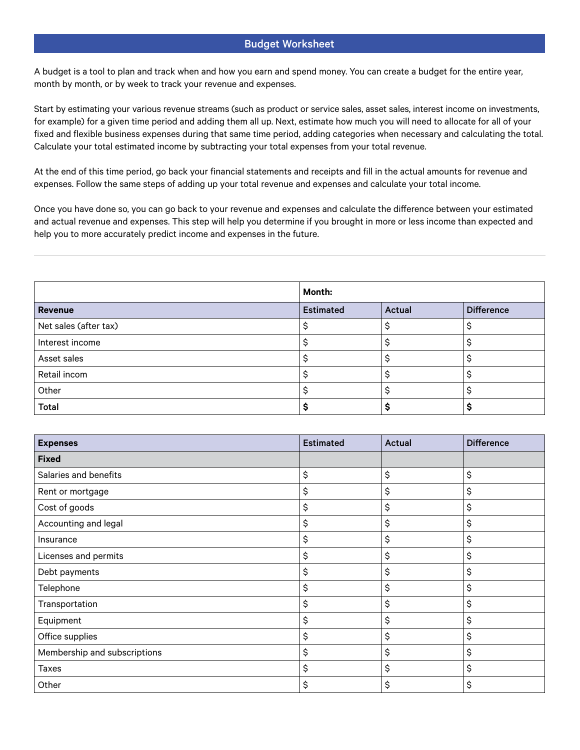A budget is a tool to plan and track when and how you earn and spend money. You can create a budget for the entire year, month by month, or by week to track your revenue and expenses.

Start by estimating your various revenue streams (such as product or service sales, asset sales, interest income on investments, for example) for a given time period and adding them all up. Next, estimate how much you will need to allocate for all of your fixed and flexible business expenses during that same time period, adding categories when necessary and calculating the total. Calculate your total estimated income by subtracting your total expenses from your total revenue.

At the end of this time period, go back your financial statements and receipts and fill in the actual amounts for revenue and expenses. Follow the same steps of adding up your total revenue and expenses and calculate your total income.

Once you have done so, you can go back to your revenue and expenses and calculate the difference between your estimated and actual revenue and expenses. This step will help you determine if you brought in more or less income than expected and help you to more accurately predict income and expenses in the future.

|                       | Month:           |                     |                   |
|-----------------------|------------------|---------------------|-------------------|
| <b>Revenue</b>        | <b>Estimated</b> | Actual              | <b>Difference</b> |
| Net sales (after tax) |                  |                     |                   |
| Interest income       |                  | $\hat{\phantom{1}}$ |                   |
| Asset sales           |                  |                     |                   |
| Retail incom          |                  |                     |                   |
| Other                 |                  |                     |                   |
| Total                 |                  |                     |                   |

| <b>Expenses</b>              | <b>Estimated</b> | Actual | <b>Difference</b> |
|------------------------------|------------------|--------|-------------------|
| <b>Fixed</b>                 |                  |        |                   |
| Salaries and benefits        | \$               | \$     | \$                |
| Rent or mortgage             | \$               | \$     | \$                |
| Cost of goods                | \$               | \$     | \$                |
| Accounting and legal         | \$               | \$     | \$                |
| Insurance                    | \$               | \$     | \$                |
| Licenses and permits         | \$               | \$     | \$                |
| Debt payments                | \$               | \$     | \$                |
| Telephone                    | \$               | \$     | \$                |
| Transportation               | \$               | \$     | \$                |
| Equipment                    | \$               | \$     | \$                |
| Office supplies              | \$               | \$     | \$                |
| Membership and subscriptions | \$               | \$     | \$                |
| <b>Taxes</b>                 | \$               | \$     | \$                |
| Other                        | \$               | \$     | \$                |